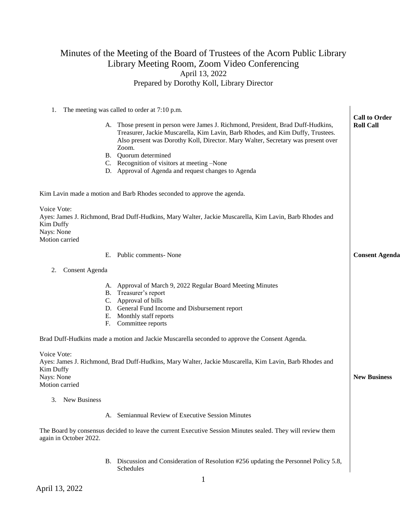## Minutes of the Meeting of the Board of Trustees of the Acorn Public Library Library Meeting Room, Zoom Video Conferencing April 13, 2022 Prepared by Dorothy Koll, Library Director

| The meeting was called to order at 7:10 p.m.<br>1.                                                                                    |                                                                                                                                                                                                                                                        |                                          |
|---------------------------------------------------------------------------------------------------------------------------------------|--------------------------------------------------------------------------------------------------------------------------------------------------------------------------------------------------------------------------------------------------------|------------------------------------------|
|                                                                                                                                       | A. Those present in person were James J. Richmond, President, Brad Duff-Hudkins,<br>Treasurer, Jackie Muscarella, Kim Lavin, Barb Rhodes, and Kim Duffy, Trustees.<br>Also present was Dorothy Koll, Director. Mary Walter, Secretary was present over | <b>Call to Order</b><br><b>Roll Call</b> |
|                                                                                                                                       | Zoom.<br>B. Quorum determined                                                                                                                                                                                                                          |                                          |
|                                                                                                                                       | C. Recognition of visitors at meeting -None                                                                                                                                                                                                            |                                          |
|                                                                                                                                       | D. Approval of Agenda and request changes to Agenda                                                                                                                                                                                                    |                                          |
| Kim Lavin made a motion and Barb Rhodes seconded to approve the agenda.                                                               |                                                                                                                                                                                                                                                        |                                          |
| Voice Vote:<br>Kim Duffy<br>Nays: None<br>Motion carried                                                                              | Ayes: James J. Richmond, Brad Duff-Hudkins, Mary Walter, Jackie Muscarella, Kim Lavin, Barb Rhodes and                                                                                                                                                 |                                          |
| Е.                                                                                                                                    | Public comments- None                                                                                                                                                                                                                                  | <b>Consent Agenda</b>                    |
| 2.<br>Consent Agenda                                                                                                                  |                                                                                                                                                                                                                                                        |                                          |
| Е.<br>F.                                                                                                                              | A. Approval of March 9, 2022 Regular Board Meeting Minutes<br>B. Treasurer's report<br>C. Approval of bills<br>D. General Fund Income and Disbursement report<br>Monthly staff reports<br>Committee reports                                            |                                          |
| Brad Duff-Hudkins made a motion and Jackie Muscarella seconded to approve the Consent Agenda.                                         |                                                                                                                                                                                                                                                        |                                          |
| Voice Vote:<br>Kim Duffy<br>Nays: None<br>Motion carried                                                                              | Ayes: James J. Richmond, Brad Duff-Hudkins, Mary Walter, Jackie Muscarella, Kim Lavin, Barb Rhodes and                                                                                                                                                 | <b>New Business</b>                      |
| 3. New Business                                                                                                                       |                                                                                                                                                                                                                                                        |                                          |
|                                                                                                                                       | Semiannual Review of Executive Session Minutes                                                                                                                                                                                                         |                                          |
| The Board by consensus decided to leave the current Executive Session Minutes sealed. They will review them<br>again in October 2022. |                                                                                                                                                                                                                                                        |                                          |
|                                                                                                                                       | B. Discussion and Consideration of Resolution #256 updating the Personnel Policy 5.8,<br>Schedules                                                                                                                                                     |                                          |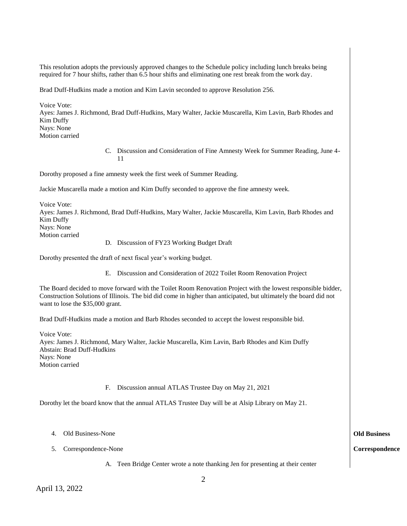This resolution adopts the previously approved changes to the Schedule policy including lunch breaks being required for 7 hour shifts, rather than 6.5 hour shifts and eliminating one rest break from the work day.

Brad Duff-Hudkins made a motion and Kim Lavin seconded to approve Resolution 256.

Voice Vote: Ayes: James J. Richmond, Brad Duff-Hudkins, Mary Walter, Jackie Muscarella, Kim Lavin, Barb Rhodes and Kim Duffy Nays: None Motion carried

> C. Discussion and Consideration of Fine Amnesty Week for Summer Reading, June 4- 11

Dorothy proposed a fine amnesty week the first week of Summer Reading.

Jackie Muscarella made a motion and Kim Duffy seconded to approve the fine amnesty week.

Voice Vote: Ayes: James J. Richmond, Brad Duff-Hudkins, Mary Walter, Jackie Muscarella, Kim Lavin, Barb Rhodes and Kim Duffy Nays: None Motion carried

D. Discussion of FY23 Working Budget Draft

Dorothy presented the draft of next fiscal year's working budget.

E. Discussion and Consideration of 2022 Toilet Room Renovation Project

The Board decided to move forward with the Toilet Room Renovation Project with the lowest responsible bidder, Construction Solutions of Illinois. The bid did come in higher than anticipated, but ultimately the board did not want to lose the \$35,000 grant.

Brad Duff-Hudkins made a motion and Barb Rhodes seconded to accept the lowest responsible bid.

Voice Vote: Ayes: James J. Richmond, Mary Walter, Jackie Muscarella, Kim Lavin, Barb Rhodes and Kim Duffy Abstain: Brad Duff-Hudkins Nays: None Motion carried

F. Discussion annual ATLAS Trustee Day on May 21, 2021

Dorothy let the board know that the annual ATLAS Trustee Day will be at Alsip Library on May 21.

- 4. Old Business-None
- 5. Correspondence-None

A. Teen Bridge Center wrote a note thanking Jen for presenting at their center

## **Old Business**

**Correspondence**